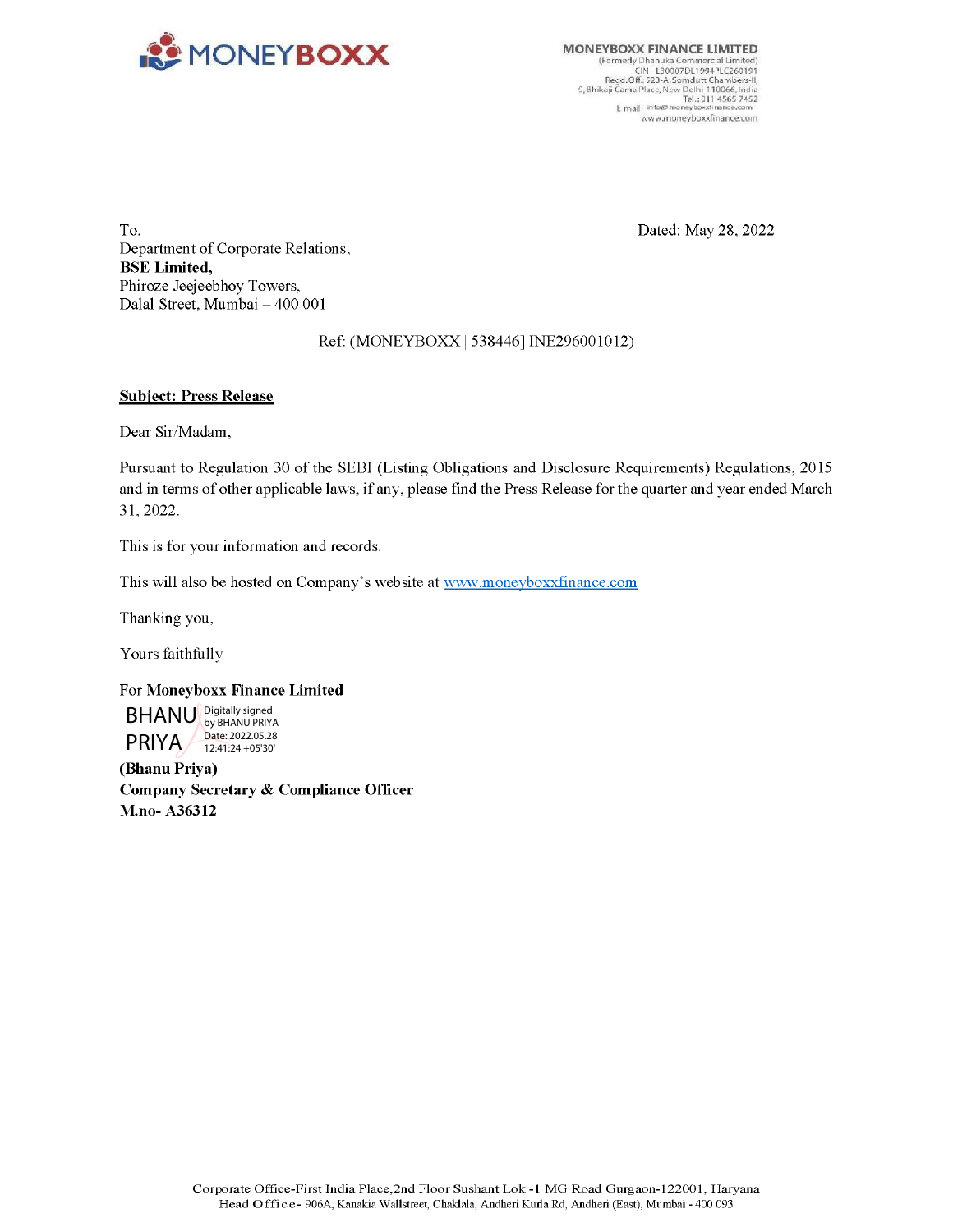

CIN - L30007DL1994PLC260191<br>Regd. Off: 523-A, Somdutt Chambers-II,<br>9, Bhikaji Cama Place, New Delhi-110066, India<br>14565 7452 ww wemoneyboxxfinance.com

To, Dated: May 28, 2022 Department of Corporate Relations, BSE Limited, Phiroze Jeejeebhoy Towers, Dalal Street, Mumbai — 400 001

Ref: (MONE YBOXxX | 538446] INE296001012)

### Subject: Press Release

Dear Sir/Madam,

Pursuant to Regulation 30 of the SEBI (Listing Obligations and Disclosure Requirements) Regulations, 2015 and in terms of other applicable laws, if any, please find the Press Release for the quarter and year ended March 31, 2022.

This is for your information and records.

This will also be hosted on Company's website at www.moneyboxxfinance.com

Thanking you,

Yours faithfully

#### For Moneyboxx Finance Limited

BHANU Digitally signed PRIYA by BHANU PRIYA Date: 2022.05.28 12:41:24 +05'30'

(Bhanu Priya) Company Secretary & Compliance Officer M.no- A36312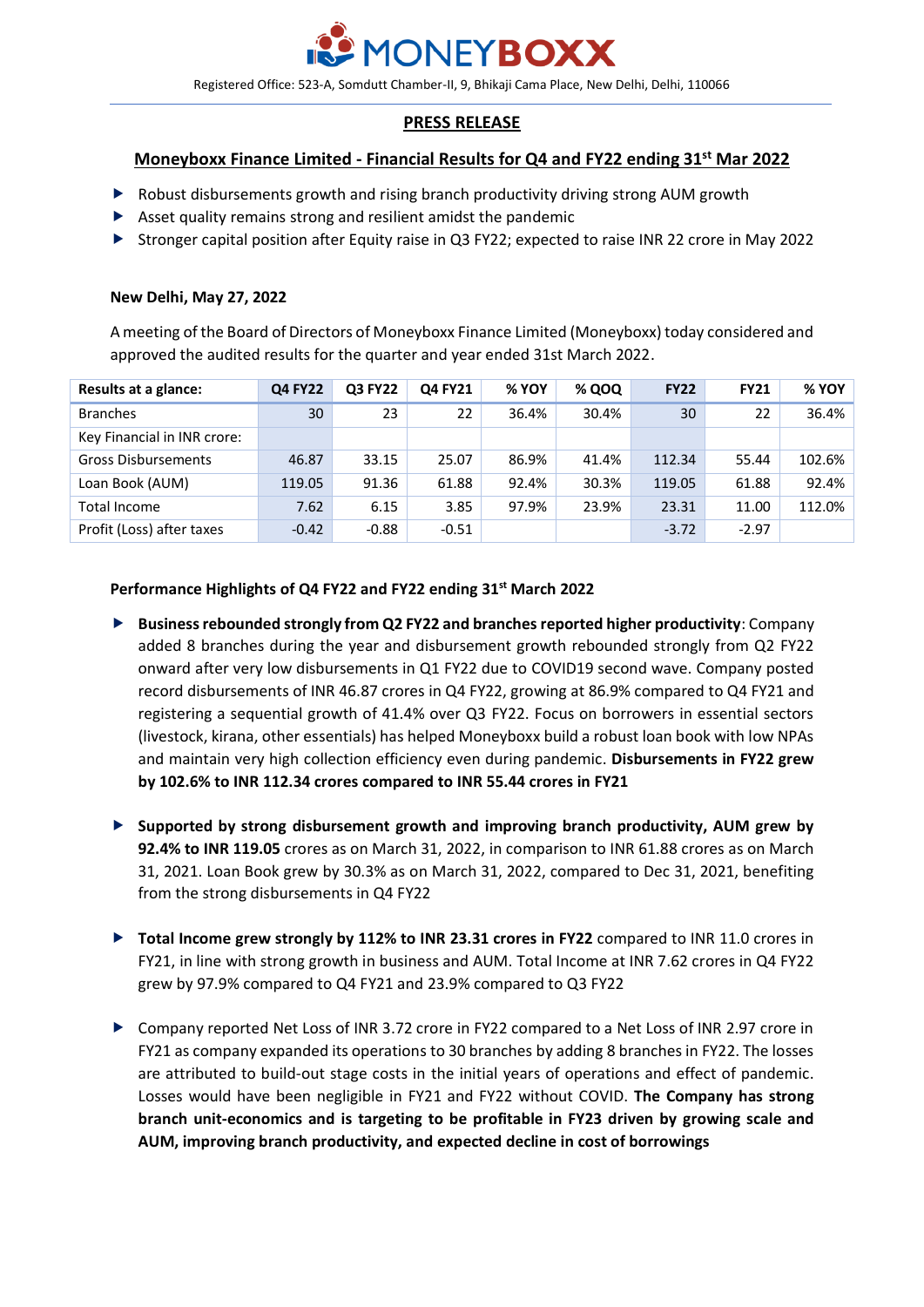

Registered Office: 523-A, Somdutt Chamber-II, 9, Bhikaji Cama Place, New Delhi, Delhi, 110066

# **PRESS RELEASE**

# **Moneyboxx Finance Limited - Financial Results for Q4 and FY22 ending 31st Mar 2022**

- Robust disbursements growth and rising branch productivity driving strong AUM growth
- $\blacktriangleright$  Asset quality remains strong and resilient amidst the pandemic
- Stronger capital position after Equity raise in Q3 FY22; expected to raise INR 22 crore in May 2022

# **New Delhi, May 27, 2022**

A meeting of the Board of Directors of Moneyboxx Finance Limited (Moneyboxx) today considered and approved the audited results for the quarter and year ended 31st March 2022.

| Results at a glance:        | <b>Q4 FY22</b> | <b>Q3 FY22</b> | Q4 FY21 | % YOY | % QOQ | <b>FY22</b> | <b>FY21</b> | % YOY  |
|-----------------------------|----------------|----------------|---------|-------|-------|-------------|-------------|--------|
| <b>Branches</b>             | 30             | 23             | 22      | 36.4% | 30.4% | 30          | 22          | 36.4%  |
| Key Financial in INR crore: |                |                |         |       |       |             |             |        |
| <b>Gross Disbursements</b>  | 46.87          | 33.15          | 25.07   | 86.9% | 41.4% | 112.34      | 55.44       | 102.6% |
| Loan Book (AUM)             | 119.05         | 91.36          | 61.88   | 92.4% | 30.3% | 119.05      | 61.88       | 92.4%  |
| Total Income                | 7.62           | 6.15           | 3.85    | 97.9% | 23.9% | 23.31       | 11.00       | 112.0% |
| Profit (Loss) after taxes   | $-0.42$        | $-0.88$        | $-0.51$ |       |       | $-3.72$     | $-2.97$     |        |

# **Performance Highlights of Q4 FY22 and FY22 ending 31st March 2022**

- **Business rebounded strongly from Q2 FY22 and branches reported higher productivity**: Company added 8 branches during the year and disbursement growth rebounded strongly from Q2 FY22 onward after very low disbursements in Q1 FY22 due to COVID19 second wave. Company posted record disbursements of INR 46.87 crores in Q4 FY22, growing at 86.9% compared to Q4 FY21 and registering a sequential growth of 41.4% over Q3 FY22. Focus on borrowers in essential sectors (livestock, kirana, other essentials) has helped Moneyboxx build a robust loan book with low NPAs and maintain very high collection efficiency even during pandemic. **Disbursements in FY22 grew by 102.6% to INR 112.34 crores compared to INR 55.44 crores in FY21**
- **Supported by strong disbursement growth and improving branch productivity, AUM grew by 92.4% to INR 119.05** crores as on March 31, 2022, in comparison to INR 61.88 crores as on March 31, 2021. Loan Book grew by 30.3% as on March 31, 2022, compared to Dec 31, 2021, benefiting from the strong disbursements in Q4 FY22
- **Total Income grew strongly by 112% to INR 23.31 crores in FY22** compared to INR 11.0 crores in FY21, in line with strong growth in business and AUM. Total Income at INR 7.62 crores in Q4 FY22 grew by 97.9% compared to Q4 FY21 and 23.9% compared to Q3 FY22
- Company reported Net Loss of INR 3.72 crore in FY22 compared to a Net Loss of INR 2.97 crore in FY21 as company expanded its operations to 30 branches by adding 8 branches in FY22. The losses are attributed to build-out stage costs in the initial years of operations and effect of pandemic. Losses would have been negligible in FY21 and FY22 without COVID. **The Company has strong branch unit-economics and is targeting to be profitable in FY23 driven by growing scale and AUM, improving branch productivity, and expected decline in cost of borrowings**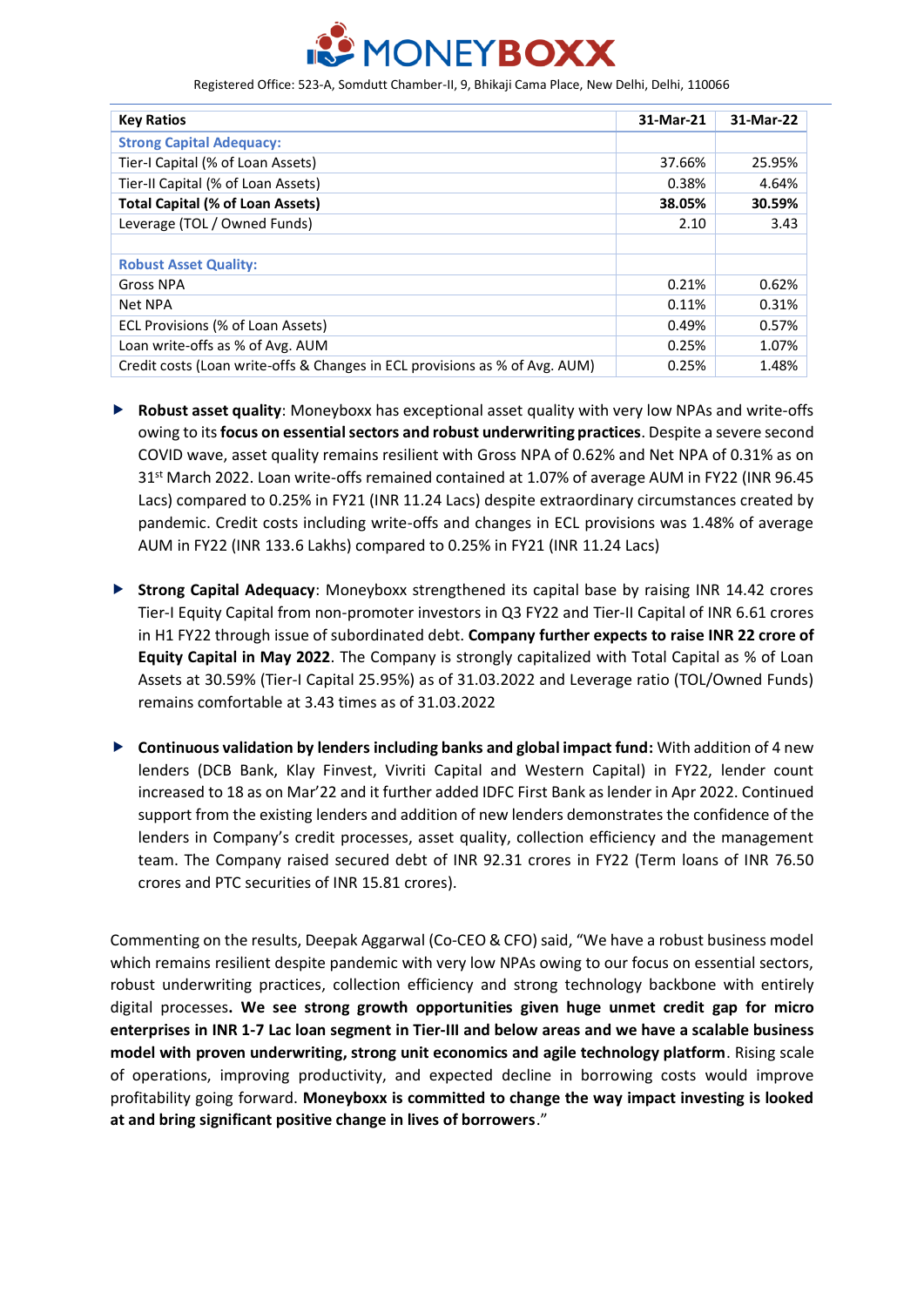

Registered Office: 523-A, Somdutt Chamber-II, 9, Bhikaji Cama Place, New Delhi, Delhi, 110066

| <b>Key Ratios</b>                                                           | 31-Mar-21 | 31-Mar-22 |
|-----------------------------------------------------------------------------|-----------|-----------|
| <b>Strong Capital Adequacy:</b>                                             |           |           |
| Tier-I Capital (% of Loan Assets)                                           | 37.66%    | 25.95%    |
| Tier-II Capital (% of Loan Assets)                                          | 0.38%     | 4.64%     |
| <b>Total Capital (% of Loan Assets)</b>                                     | 38.05%    | 30.59%    |
| Leverage (TOL / Owned Funds)                                                | 2.10      | 3.43      |
|                                                                             |           |           |
| <b>Robust Asset Quality:</b>                                                |           |           |
| <b>Gross NPA</b>                                                            | 0.21%     | 0.62%     |
| Net NPA                                                                     | 0.11%     | 0.31%     |
| ECL Provisions (% of Loan Assets)                                           | 0.49%     | 0.57%     |
| Loan write-offs as % of Avg. AUM                                            | 0.25%     | 1.07%     |
| Credit costs (Loan write-offs & Changes in ECL provisions as % of Avg. AUM) | 0.25%     | 1.48%     |

- **Robust asset quality**: Moneyboxx has exceptional asset quality with very low NPAs and write-offs owing to its **focus on essential sectors and robust underwriting practices**. Despite a severe second COVID wave, asset quality remains resilient with Gross NPA of 0.62% and Net NPA of 0.31% as on 31<sup>st</sup> March 2022. Loan write-offs remained contained at 1.07% of average AUM in FY22 (INR 96.45 Lacs) compared to 0.25% in FY21 (INR 11.24 Lacs) despite extraordinary circumstances created by pandemic. Credit costs including write-offs and changes in ECL provisions was 1.48% of average AUM in FY22 (INR 133.6 Lakhs) compared to 0.25% in FY21 (INR 11.24 Lacs)
- **Strong Capital Adequacy**: Moneyboxx strengthened its capital base by raising INR 14.42 crores Tier-I Equity Capital from non-promoter investors in Q3 FY22 and Tier-II Capital of INR 6.61 crores in H1 FY22 through issue of subordinated debt. **Company further expects to raise INR 22 crore of Equity Capital in May 2022**. The Company is strongly capitalized with Total Capital as % of Loan Assets at 30.59% (Tier-I Capital 25.95%) as of 31.03.2022 and Leverage ratio (TOL/Owned Funds) remains comfortable at 3.43 times as of 31.03.2022
- **Continuous validation by lenders including banks and global impact fund:** With addition of 4 new lenders (DCB Bank, Klay Finvest, Vivriti Capital and Western Capital) in FY22, lender count increased to 18 as on Mar'22 and it further added IDFC First Bank as lender in Apr 2022. Continued support from the existing lenders and addition of new lenders demonstrates the confidence of the lenders in Company's credit processes, asset quality, collection efficiency and the management team. The Company raised secured debt of INR 92.31 crores in FY22 (Term loans of INR 76.50 crores and PTC securities of INR 15.81 crores).

Commenting on the results, Deepak Aggarwal (Co-CEO & CFO) said, "We have a robust business model which remains resilient despite pandemic with very low NPAs owing to our focus on essential sectors, robust underwriting practices, collection efficiency and strong technology backbone with entirely digital processes**. We see strong growth opportunities given huge unmet credit gap for micro enterprises in INR 1-7 Lac loan segment in Tier-III and below areas and we have a scalable business model with proven underwriting, strong unit economics and agile technology platform**. Rising scale of operations, improving productivity, and expected decline in borrowing costs would improve profitability going forward. **Moneyboxx is committed to change the way impact investing is looked at and bring significant positive change in lives of borrowers**."